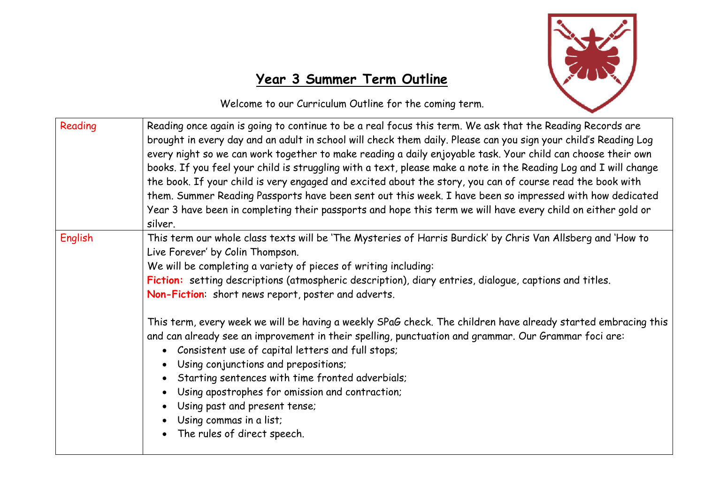

## **Year 3 Summer Term Outline**

Welcome to our Curriculum Outline for the coming term.

| Reading        | Reading once again is going to continue to be a real focus this term. We ask that the Reading Records are<br>brought in every day and an adult in school will check them daily. Please can you sign your child's Reading Log<br>every night so we can work together to make reading a daily enjoyable task. Your child can choose their own<br>books. If you feel your child is struggling with a text, please make a note in the Reading Log and I will change<br>the book. If your child is very engaged and excited about the story, you can of course read the book with<br>them. Summer Reading Passports have been sent out this week. I have been so impressed with how dedicated<br>Year 3 have been in completing their passports and hope this term we will have every child on either gold or<br>silver. |  |  |
|----------------|---------------------------------------------------------------------------------------------------------------------------------------------------------------------------------------------------------------------------------------------------------------------------------------------------------------------------------------------------------------------------------------------------------------------------------------------------------------------------------------------------------------------------------------------------------------------------------------------------------------------------------------------------------------------------------------------------------------------------------------------------------------------------------------------------------------------|--|--|
| <b>English</b> | This term our whole class texts will be 'The Mysteries of Harris Burdick' by Chris Van Allsberg and 'How to<br>Live Forever' by Colin Thompson.<br>We will be completing a variety of pieces of writing including:<br>Fiction: setting descriptions (atmospheric description), diary entries, dialogue, captions and titles.<br>Non-Fiction: short news report, poster and adverts.                                                                                                                                                                                                                                                                                                                                                                                                                                 |  |  |
|                | This term, every week we will be having a weekly SPaG check. The children have already started embracing this<br>and can already see an improvement in their spelling, punctuation and grammar. Our Grammar foci are:<br>• Consistent use of capital letters and full stops;<br>• Using conjunctions and prepositions;<br>• Starting sentences with time fronted adverbials;<br>Using apostrophes for omission and contraction;<br>Using past and present tense;<br>Using commas in a list;<br>The rules of direct speech.                                                                                                                                                                                                                                                                                          |  |  |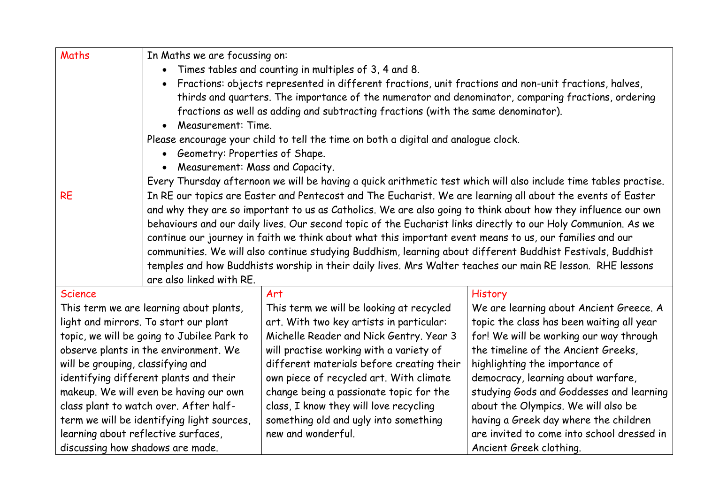| Maths                                      | In Maths we are focussing on:                                                                                         |                                                                                                               |                                            |  |  |  |
|--------------------------------------------|-----------------------------------------------------------------------------------------------------------------------|---------------------------------------------------------------------------------------------------------------|--------------------------------------------|--|--|--|
|                                            | Times tables and counting in multiples of 3, 4 and 8.<br>$\bullet$                                                    |                                                                                                               |                                            |  |  |  |
|                                            | Fractions: objects represented in different fractions, unit fractions and non-unit fractions, halves,                 |                                                                                                               |                                            |  |  |  |
|                                            |                                                                                                                       | thirds and quarters. The importance of the numerator and denominator, comparing fractions, ordering           |                                            |  |  |  |
|                                            | fractions as well as adding and subtracting fractions (with the same denominator).<br>Measurement: Time.<br>$\bullet$ |                                                                                                               |                                            |  |  |  |
|                                            |                                                                                                                       |                                                                                                               |                                            |  |  |  |
|                                            | Please encourage your child to tell the time on both a digital and analogue clock.                                    |                                                                                                               |                                            |  |  |  |
|                                            | • Geometry: Properties of Shape.                                                                                      |                                                                                                               |                                            |  |  |  |
|                                            | Measurement: Mass and Capacity.<br>$\bullet$                                                                          |                                                                                                               |                                            |  |  |  |
|                                            | Every Thursday afternoon we will be having a quick arithmetic test which will also include time tables practise.      |                                                                                                               |                                            |  |  |  |
| <b>RE</b>                                  | In RE our topics are Easter and Pentecost and The Eucharist. We are learning all about the events of Easter           |                                                                                                               |                                            |  |  |  |
|                                            | and why they are so important to us as Catholics. We are also going to think about how they influence our own         |                                                                                                               |                                            |  |  |  |
|                                            |                                                                                                                       | behaviours and our daily lives. Our second topic of the Eucharist links directly to our Holy Communion. As we |                                            |  |  |  |
|                                            |                                                                                                                       | continue our journey in faith we think about what this important event means to us, our families and our      |                                            |  |  |  |
|                                            |                                                                                                                       | communities. We will also continue studying Buddhism, learning about different Buddhist Festivals, Buddhist   |                                            |  |  |  |
|                                            |                                                                                                                       | temples and how Buddhists worship in their daily lives. Mrs Walter teaches our main RE lesson. RHE lessons    |                                            |  |  |  |
|                                            | are also linked with RE.                                                                                              |                                                                                                               |                                            |  |  |  |
| <b>Science</b>                             |                                                                                                                       | Art                                                                                                           | <b>History</b>                             |  |  |  |
| This term we are learning about plants,    |                                                                                                                       | This term we will be looking at recycled                                                                      | We are learning about Ancient Greece. A    |  |  |  |
| light and mirrors. To start our plant      |                                                                                                                       | art. With two key artists in particular:                                                                      | topic the class has been waiting all year  |  |  |  |
| topic, we will be going to Jubilee Park to |                                                                                                                       | Michelle Reader and Nick Gentry. Year 3                                                                       | for! We will be working our way through    |  |  |  |
| observe plants in the environment. We      |                                                                                                                       | will practise working with a variety of                                                                       | the timeline of the Ancient Greeks,        |  |  |  |
| will be grouping, classifying and          |                                                                                                                       | different materials before creating their                                                                     | highlighting the importance of             |  |  |  |
| identifying different plants and their     |                                                                                                                       | own piece of recycled art. With climate                                                                       | democracy, learning about warfare,         |  |  |  |
| makeup. We will even be having our own     |                                                                                                                       | change being a passionate topic for the                                                                       | studying Gods and Goddesses and learning   |  |  |  |
| class plant to watch over. After half-     |                                                                                                                       | class, I know they will love recycling                                                                        | about the Olympics. We will also be        |  |  |  |
| term we will be identifying light sources, |                                                                                                                       | something old and ugly into something                                                                         | having a Greek day where the children      |  |  |  |
| learning about reflective surfaces,        |                                                                                                                       | new and wonderful.                                                                                            | are invited to come into school dressed in |  |  |  |
| discussing how shadows are made.           |                                                                                                                       |                                                                                                               | Ancient Greek clothing.                    |  |  |  |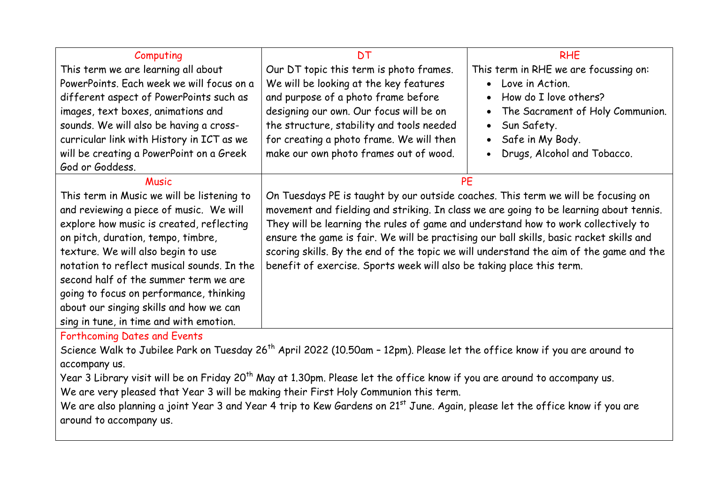| Computing                                  | <b>DT</b>                                                                               | <b>RHE</b>                            |
|--------------------------------------------|-----------------------------------------------------------------------------------------|---------------------------------------|
| This term we are learning all about        | Our DT topic this term is photo frames.                                                 | This term in RHE we are focussing on: |
| PowerPoints. Each week we will focus on a  | We will be looking at the key features                                                  | • Love in Action.                     |
| different aspect of PowerPoints such as    | and purpose of a photo frame before                                                     | How do I love others?<br>$\bullet$    |
| images, text boxes, animations and         | designing our own. Our focus will be on                                                 | The Sacrament of Holy Communion.      |
| sounds. We will also be having a cross-    | the structure, stability and tools needed                                               | • Sun Safety.                         |
| curricular link with History in ICT as we  | for creating a photo frame. We will then                                                | • Safe in My Body.                    |
| will be creating a PowerPoint on a Greek   | make our own photo frames out of wood.                                                  | Drugs, Alcohol and Tobacco.           |
| God or Goddess.                            |                                                                                         |                                       |
| <b>Music</b>                               |                                                                                         | <b>PE</b>                             |
| This term in Music we will be listening to | On Tuesdays PE is taught by our outside coaches. This term we will be focusing on       |                                       |
| and reviewing a piece of music. We will    | movement and fielding and striking. In class we are going to be learning about tennis.  |                                       |
| explore how music is created, reflecting   | They will be learning the rules of game and understand how to work collectively to      |                                       |
| on pitch, duration, tempo, timbre,         | ensure the game is fair. We will be practising our ball skills, basic racket skills and |                                       |
| texture. We will also begin to use         | scoring skills. By the end of the topic we will understand the aim of the game and the  |                                       |
| notation to reflect musical sounds. In the | benefit of exercise. Sports week will also be taking place this term.                   |                                       |
| second half of the summer term we are      |                                                                                         |                                       |
| going to focus on performance, thinking    |                                                                                         |                                       |
| about our singing skills and how we can    |                                                                                         |                                       |
| sing in tune, in time and with emotion.    |                                                                                         |                                       |

Forthcoming Dates and Events

Science Walk to Jubilee Park on Tuesday 26<sup>th</sup> April 2022 (10.50am - 12pm). Please let the office know if you are around to accompany us.

Year 3 Library visit will be on Friday 20<sup>th</sup> May at 1.30pm. Please let the office know if you are around to accompany us.

We are very pleased that Year 3 will be making their First Holy Communion this term.

We are also planning a joint Year 3 and Year 4 trip to Kew Gardens on 21<sup>st</sup> June. Again, please let the office know if you are around to accompany us.